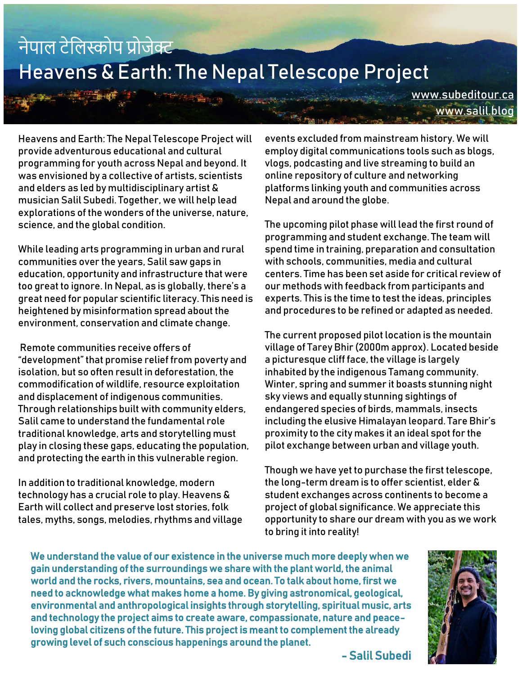## नेपाल टेललस्कोप प्रोजेक्ट Heavens & Earth: The Nepal Telescope Project

[www.subeditour.ca](https://d.docs.live.net/b4fc5d877c392236/DESIGN%20ARCHIVE/Salil%20Subedi/www.subeditour.ca) [www.salil.blog](https://d.docs.live.net/b4fc5d877c392236/DESIGN%20ARCHIVE/Salil%20Subedi/www.salil.blog)

Heavens and Earth: The Nepal Telescope Project will provide adventurous educational and cultural programming for youth across Nepal and beyond. It was envisioned by a collective of artists, scientists and elders as led by multidisciplinary artist & musician Salil Subedi. Together, we will help lead explorations of the wonders of the universe, nature, science, and the global condition.

While leading arts programming in urban and rural communities over the years, Salil saw gaps in education, opportunity and infrastructure that were too great to ignore. In Nepal, as is globally, there's a great need for popular scientific literacy. This need is heightened by misinformation spread about the environment, conservation and climate change.

Remote communities receive offers of "development" that promise relief from poverty and isolation, but so often result in deforestation, the commodification of wildlife, resource exploitation and displacement of indigenous communities. Through relationships built with community elders, Salil came to understand the fundamental role traditional knowledge, arts and storytelling must play in closing these gaps, educating the population, and protecting the earth in this vulnerable region.

In addition to traditional knowledge, modern technology has a crucial role to play. Heavens & Earth will collect and preserve lost stories, folk tales, myths, songs, melodies, rhythms and village events excluded from mainstream history. We will employ digital communications tools such as blogs, vlogs, podcasting and live streaming to build an online repository of culture and networking platforms linking youth and communities across Nepal and around the globe.

The upcoming pilot phase will lead the first round of programming and student exchange. The team will spend time in training, preparation and consultation with schools, communities, media and cultural centers. Time has been set aside for critical review of our methods with feedback from participants and experts. This is the time to test the ideas, principles and procedures to be refined or adapted as needed.

The current proposed pilot location is the mountain village of Tarey Bhir (2000m approx). Located beside a picturesque cliff face, the village is largely inhabited by the indigenous Tamang community. Winter, spring and summer it boasts stunning night sky views and equally stunning sightings of endangered species of birds, mammals, insects including the elusive Himalayan leopard. Tare Bhir's proximity to the city makes it an ideal spot for the pilot exchange between urban and village youth.

Though we have yet to purchase the first telescope, the long-term dream is to offer scientist, elder & student exchanges across continents to become a project of global significance. We appreciate this opportunity to share our dream with you as we work to bring it into reality!

We understand the value of our existence in the universe much more deeply when we gain understanding of the surroundings we share with the plant world, the animal world and the rocks, rivers, mountains, sea and ocean. To talk about home, first we need to acknowledge what makes home a home. By giving astronomical, geological, environmental and anthropological insights through storytelling, spiritual music, arts and technology the project aims to create aware, compassionate, nature and peaceloving global citizens of the future. This project is meant to complement the already growing level of such conscious happenings around the planet.



- Salil Subedi